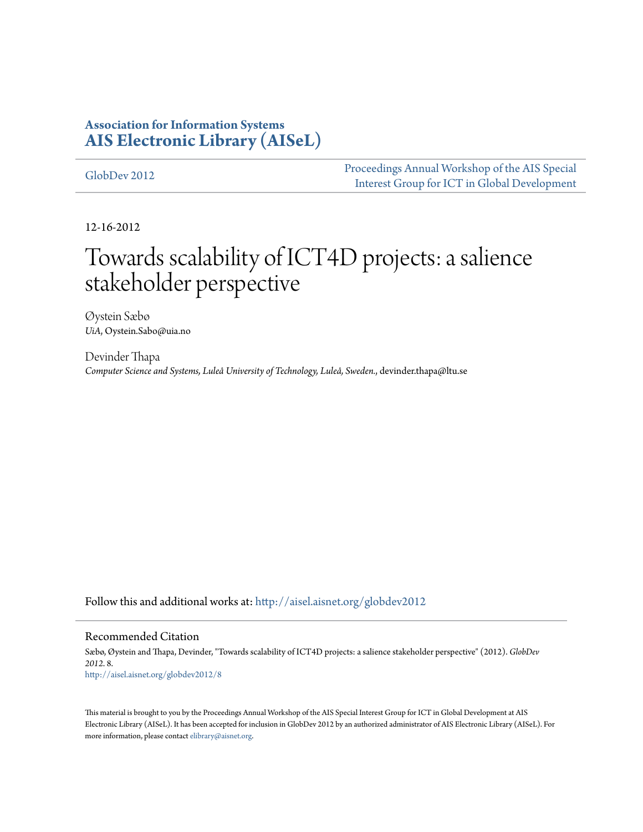### **Association for Information Systems [AIS Electronic Library \(AISeL\)](http://aisel.aisnet.org?utm_source=aisel.aisnet.org%2Fglobdev2012%2F8&utm_medium=PDF&utm_campaign=PDFCoverPages)**

[GlobDev 2012](http://aisel.aisnet.org/globdev2012?utm_source=aisel.aisnet.org%2Fglobdev2012%2F8&utm_medium=PDF&utm_campaign=PDFCoverPages) [Proceedings Annual Workshop of the AIS Special](http://aisel.aisnet.org/globdev?utm_source=aisel.aisnet.org%2Fglobdev2012%2F8&utm_medium=PDF&utm_campaign=PDFCoverPages) [Interest Group for ICT in Global Development](http://aisel.aisnet.org/globdev?utm_source=aisel.aisnet.org%2Fglobdev2012%2F8&utm_medium=PDF&utm_campaign=PDFCoverPages)

12-16-2012

# Towards scalability of ICT4D projects: a salience stakeholder perspective

Øystein Sæbø *UiA*, Oystein.Sabo@uia.no

Devinder Thapa *Computer Science and Systems, Luleå University of Technology, Luleå, Sweden.*, devinder.thapa@ltu.se

Follow this and additional works at: [http://aisel.aisnet.org/globdev2012](http://aisel.aisnet.org/globdev2012?utm_source=aisel.aisnet.org%2Fglobdev2012%2F8&utm_medium=PDF&utm_campaign=PDFCoverPages)

#### Recommended Citation

Sæbø, Øystein and Thapa, Devinder, "Towards scalability of ICT4D projects: a salience stakeholder perspective" (2012). *GlobDev 2012*. 8. [http://aisel.aisnet.org/globdev2012/8](http://aisel.aisnet.org/globdev2012/8?utm_source=aisel.aisnet.org%2Fglobdev2012%2F8&utm_medium=PDF&utm_campaign=PDFCoverPages)

This material is brought to you by the Proceedings Annual Workshop of the AIS Special Interest Group for ICT in Global Development at AIS Electronic Library (AISeL). It has been accepted for inclusion in GlobDev 2012 by an authorized administrator of AIS Electronic Library (AISeL). For more information, please contact [elibrary@aisnet.org.](mailto:elibrary@aisnet.org%3E)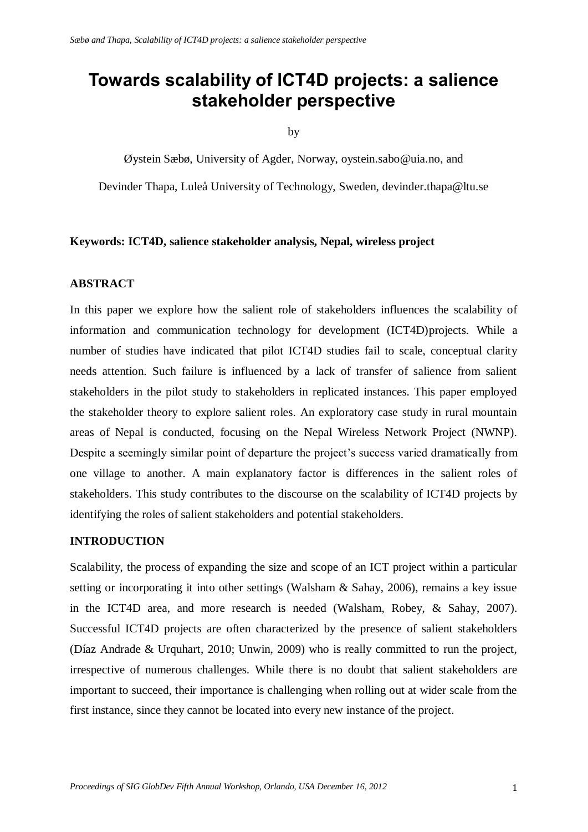## **Towards scalability of ICT4D projects: a salience stakeholder perspective**

by

Øystein Sæbø, University of Agder, Norway, oystein.sabo@uia.no, and Devinder Thapa, Luleå University of Technology, Sweden, devinder.thapa@ltu.se

#### **Keywords: ICT4D, salience stakeholder analysis, Nepal, wireless project**

#### **ABSTRACT**

In this paper we explore how the salient role of stakeholders influences the scalability of information and communication technology for development (ICT4D)projects. While a number of studies have indicated that pilot ICT4D studies fail to scale, conceptual clarity needs attention. Such failure is influenced by a lack of transfer of salience from salient stakeholders in the pilot study to stakeholders in replicated instances. This paper employed the stakeholder theory to explore salient roles. An exploratory case study in rural mountain areas of Nepal is conducted, focusing on the Nepal Wireless Network Project (NWNP). Despite a seemingly similar point of departure the project's success varied dramatically from one village to another. A main explanatory factor is differences in the salient roles of stakeholders. This study contributes to the discourse on the scalability of ICT4D projects by identifying the roles of salient stakeholders and potential stakeholders.

#### **INTRODUCTION**

Scalability, the process of expanding the size and scope of an ICT project within a particular setting or incorporating it into other settings (Walsham & Sahay, 2006), remains a key issue in the ICT4D area, and more research is needed (Walsham, Robey, & Sahay, 2007). Successful ICT4D projects are often characterized by the presence of salient stakeholders (Díaz Andrade & Urquhart, 2010; Unwin, 2009) who is really committed to run the project, irrespective of numerous challenges. While there is no doubt that salient stakeholders are important to succeed, their importance is challenging when rolling out at wider scale from the first instance, since they cannot be located into every new instance of the project.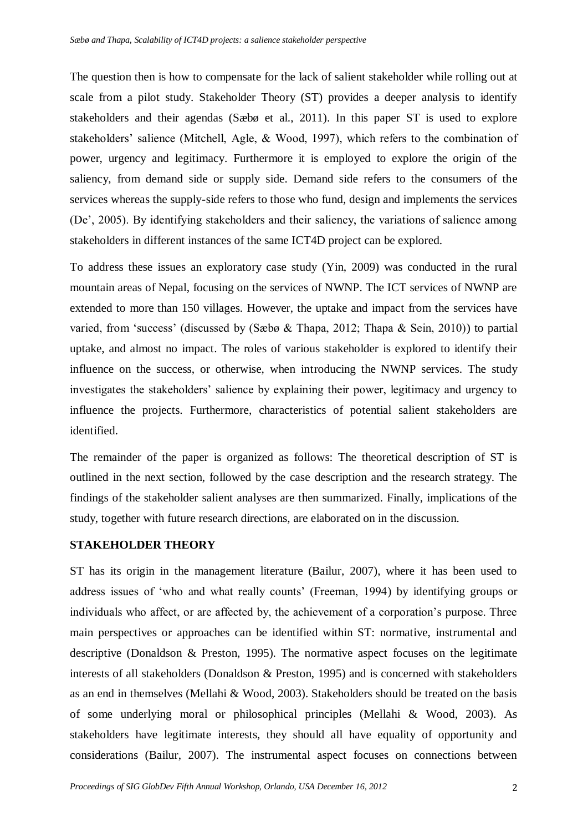The question then is how to compensate for the lack of salient stakeholder while rolling out at scale from a pilot study. Stakeholder Theory (ST) provides a deeper analysis to identify stakeholders and their agendas (Sæbø et al., 2011). In this paper ST is used to explore stakeholders' salience (Mitchell, Agle, & Wood, 1997), which refers to the combination of power, urgency and legitimacy. Furthermore it is employed to explore the origin of the saliency, from demand side or supply side. Demand side refers to the consumers of the services whereas the supply-side refers to those who fund, design and implements the services (De', 2005). By identifying stakeholders and their saliency, the variations of salience among stakeholders in different instances of the same ICT4D project can be explored.

To address these issues an exploratory case study (Yin, 2009) was conducted in the rural mountain areas of Nepal, focusing on the services of NWNP. The ICT services of NWNP are extended to more than 150 villages. However, the uptake and impact from the services have varied, from 'success' (discussed by (Sæbø & Thapa, 2012; Thapa & Sein, 2010)) to partial uptake, and almost no impact. The roles of various stakeholder is explored to identify their influence on the success, or otherwise, when introducing the NWNP services. The study investigates the stakeholders' salience by explaining their power, legitimacy and urgency to influence the projects. Furthermore, characteristics of potential salient stakeholders are identified.

The remainder of the paper is organized as follows: The theoretical description of ST is outlined in the next section, followed by the case description and the research strategy. The findings of the stakeholder salient analyses are then summarized. Finally, implications of the study, together with future research directions, are elaborated on in the discussion.

#### **STAKEHOLDER THEORY**

ST has its origin in the management literature (Bailur, 2007), where it has been used to address issues of 'who and what really counts' (Freeman, 1994) by identifying groups or individuals who affect, or are affected by, the achievement of a corporation's purpose. Three main perspectives or approaches can be identified within ST: normative, instrumental and descriptive (Donaldson & Preston, 1995). The normative aspect focuses on the legitimate interests of all stakeholders (Donaldson & Preston, 1995) and is concerned with stakeholders as an end in themselves (Mellahi & Wood, 2003). Stakeholders should be treated on the basis of some underlying moral or philosophical principles (Mellahi & Wood, 2003). As stakeholders have legitimate interests, they should all have equality of opportunity and considerations (Bailur, 2007). The instrumental aspect focuses on connections between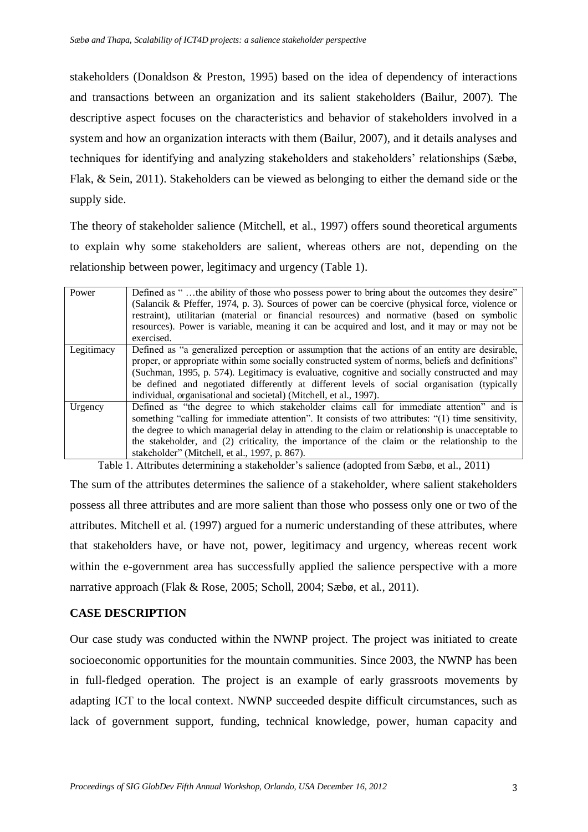stakeholders (Donaldson & Preston, 1995) based on the idea of dependency of interactions and transactions between an organization and its salient stakeholders (Bailur, 2007). The descriptive aspect focuses on the characteristics and behavior of stakeholders involved in a system and how an organization interacts with them (Bailur, 2007), and it details analyses and techniques for identifying and analyzing stakeholders and stakeholders' relationships (Sæbø, Flak, & Sein, 2011). Stakeholders can be viewed as belonging to either the demand side or the supply side.

The theory of stakeholder salience (Mitchell, et al., 1997) offers sound theoretical arguments to explain why some stakeholders are salient, whereas others are not, depending on the relationship between power, legitimacy and urgency (Table 1).

| Power      | Defined as "the ability of those who possess power to bring about the outcomes they desire"<br>(Salancik & Pfeffer, 1974, p. 3). Sources of power can be coercive (physical force, violence or<br>restraint), utilitarian (material or financial resources) and normative (based on symbolic<br>resources). Power is variable, meaning it can be acquired and lost, and it may or may not be<br>exercised.                                                                 |
|------------|----------------------------------------------------------------------------------------------------------------------------------------------------------------------------------------------------------------------------------------------------------------------------------------------------------------------------------------------------------------------------------------------------------------------------------------------------------------------------|
| Legitimacy | Defined as "a generalized perception or assumption that the actions of an entity are desirable,<br>proper, or appropriate within some socially constructed system of norms, beliefs and definitions"<br>(Suchman, 1995, p. 574). Legitimacy is evaluative, cognitive and socially constructed and may<br>be defined and negotiated differently at different levels of social organisation (typically<br>individual, organisational and societal) (Mitchell, et al., 1997). |
| Urgency    | Defined as "the degree to which stakeholder claims call for immediate attention" and is<br>something "calling for immediate attention". It consists of two attributes: "(1) time sensitivity,<br>the degree to which managerial delay in attending to the claim or relationship is unacceptable to<br>the stakeholder, and (2) criticality, the importance of the claim or the relationship to the<br>stakeholder" (Mitchell, et al., 1997, p. 867).                       |

Table 1. Attributes determining a stakeholder's salience (adopted from Sæbø, et al., 2011)

The sum of the attributes determines the salience of a stakeholder, where salient stakeholders possess all three attributes and are more salient than those who possess only one or two of the attributes. Mitchell et al. (1997) argued for a numeric understanding of these attributes, where that stakeholders have, or have not, power, legitimacy and urgency, whereas recent work within the e-government area has successfully applied the salience perspective with a more narrative approach (Flak & Rose, 2005; Scholl, 2004; Sæbø, et al., 2011).

#### **CASE DESCRIPTION**

Our case study was conducted within the NWNP project. The project was initiated to create socioeconomic opportunities for the mountain communities. Since 2003, the NWNP has been in full-fledged operation. The project is an example of early grassroots movements by adapting ICT to the local context. NWNP succeeded despite difficult circumstances, such as lack of government support, funding, technical knowledge, power, human capacity and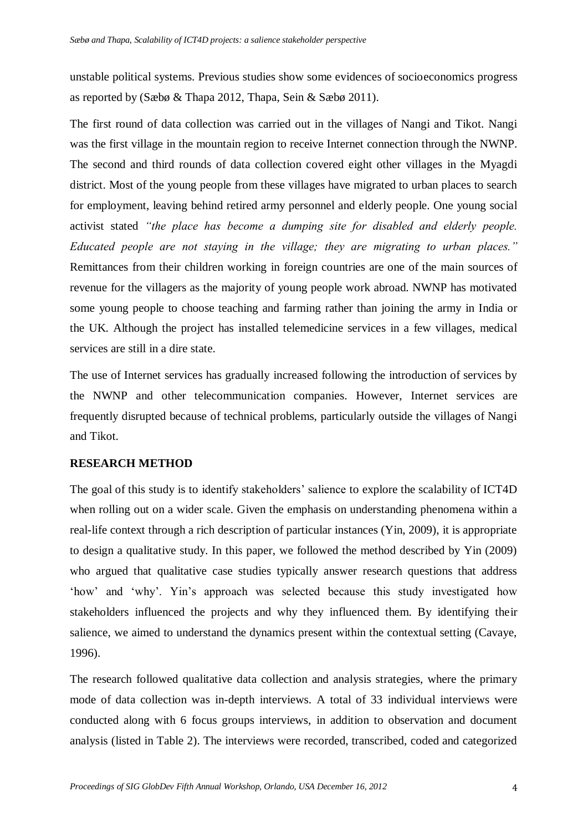unstable political systems. Previous studies show some evidences of socioeconomics progress as reported by (Sæbø & Thapa 2012, Thapa, Sein & Sæbø 2011).

The first round of data collection was carried out in the villages of Nangi and Tikot. Nangi was the first village in the mountain region to receive Internet connection through the NWNP. The second and third rounds of data collection covered eight other villages in the Myagdi district. Most of the young people from these villages have migrated to urban places to search for employment, leaving behind retired army personnel and elderly people. One young social activist stated *"the place has become a dumping site for disabled and elderly people. Educated people are not staying in the village; they are migrating to urban places."* Remittances from their children working in foreign countries are one of the main sources of revenue for the villagers as the majority of young people work abroad. NWNP has motivated some young people to choose teaching and farming rather than joining the army in India or the UK. Although the project has installed telemedicine services in a few villages, medical services are still in a dire state.

The use of Internet services has gradually increased following the introduction of services by the NWNP and other telecommunication companies. However, Internet services are frequently disrupted because of technical problems, particularly outside the villages of Nangi and Tikot.

#### **RESEARCH METHOD**

The goal of this study is to identify stakeholders' salience to explore the scalability of ICT4D when rolling out on a wider scale. Given the emphasis on understanding phenomena within a real-life context through a rich description of particular instances (Yin, 2009), it is appropriate to design a qualitative study. In this paper, we followed the method described by Yin (2009) who argued that qualitative case studies typically answer research questions that address 'how' and 'why'. Yin's approach was selected because this study investigated how stakeholders influenced the projects and why they influenced them. By identifying their salience, we aimed to understand the dynamics present within the contextual setting (Cavaye, 1996).

The research followed qualitative data collection and analysis strategies, where the primary mode of data collection was in-depth interviews. A total of 33 individual interviews were conducted along with 6 focus groups interviews, in addition to observation and document analysis (listed in Table 2). The interviews were recorded, transcribed, coded and categorized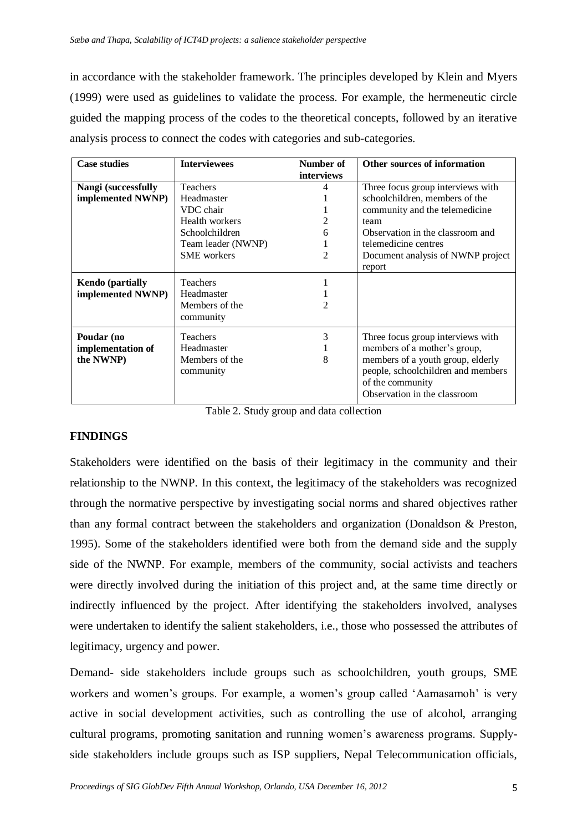in accordance with the stakeholder framework. The principles developed by Klein and Myers (1999) were used as guidelines to validate the process. For example, the hermeneutic circle guided the mapping process of the codes to the theoretical concepts, followed by an iterative analysis process to connect the codes with categories and sub-categories.

| <b>Case studies</b>     | <b>Interviewees</b> | Number of  | Other sources of information       |  |
|-------------------------|---------------------|------------|------------------------------------|--|
|                         |                     | interviews |                                    |  |
| Nangi (successfully     | <b>Teachers</b>     |            | Three focus group interviews with  |  |
| implemented NWNP)       | Headmaster          |            | schoolchildren, members of the     |  |
|                         | VDC chair           |            | community and the telemedicine     |  |
|                         | Health workers      |            | team                               |  |
|                         | Schoolchildren      | 6          | Observation in the classroom and   |  |
|                         | Team leader (NWNP)  |            | telemedicine centres               |  |
|                         | <b>SME</b> workers  | 2          | Document analysis of NWNP project  |  |
|                         |                     |            | report                             |  |
| <b>Kendo</b> (partially | <b>Teachers</b>     |            |                                    |  |
| implemented NWNP)       | Headmaster          |            |                                    |  |
|                         | Members of the      | 2          |                                    |  |
|                         | community           |            |                                    |  |
|                         |                     |            |                                    |  |
| Poudar (no              | <b>Teachers</b>     | 3          | Three focus group interviews with  |  |
| implementation of       | Headmaster          |            | members of a mother's group,       |  |
| the NWNP)               | Members of the      | 8          | members of a youth group, elderly  |  |
|                         | community           |            | people, schoolchildren and members |  |
|                         |                     |            | of the community                   |  |
|                         |                     |            | Observation in the classroom       |  |

Table 2. Study group and data collection

#### **FINDINGS**

Stakeholders were identified on the basis of their legitimacy in the community and their relationship to the NWNP. In this context, the legitimacy of the stakeholders was recognized through the normative perspective by investigating social norms and shared objectives rather than any formal contract between the stakeholders and organization (Donaldson & Preston, 1995). Some of the stakeholders identified were both from the demand side and the supply side of the NWNP. For example, members of the community, social activists and teachers were directly involved during the initiation of this project and, at the same time directly or indirectly influenced by the project. After identifying the stakeholders involved, analyses were undertaken to identify the salient stakeholders, i.e., those who possessed the attributes of legitimacy, urgency and power.

Demand- side stakeholders include groups such as schoolchildren, youth groups, SME workers and women's groups. For example, a women's group called 'Aamasamoh' is very active in social development activities, such as controlling the use of alcohol, arranging cultural programs, promoting sanitation and running women's awareness programs. Supplyside stakeholders include groups such as ISP suppliers, Nepal Telecommunication officials,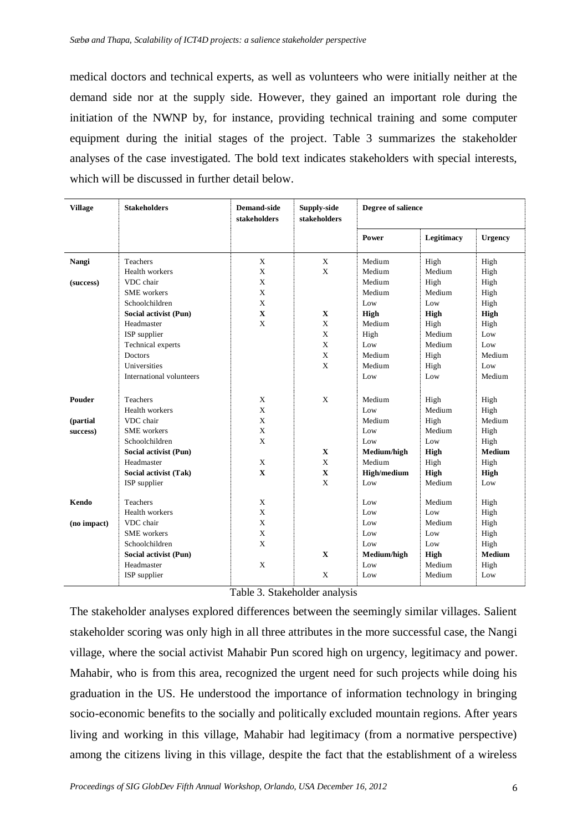medical doctors and technical experts, as well as volunteers who were initially neither at the demand side nor at the supply side. However, they gained an important role during the initiation of the NWNP by, for instance, providing technical training and some computer equipment during the initial stages of the project. Table 3 summarizes the stakeholder analyses of the case investigated. The bold text indicates stakeholders with special interests, which will be discussed in further detail below.

| <b>Village</b> | <b>Stakeholders</b>      | <b>Demand-side</b><br>stakeholders | Supply-side<br>stakeholders | Degree of salience |            |                |
|----------------|--------------------------|------------------------------------|-----------------------------|--------------------|------------|----------------|
|                |                          |                                    |                             | Power              | Legitimacy | <b>Urgency</b> |
| Nangi          | <b>Teachers</b>          | X                                  | X                           | Medium             | High       | High           |
|                | Health workers           | X                                  | X                           | Medium             | Medium     | High           |
| (success)      | VDC chair                | X                                  |                             | Medium             | High       | High           |
|                | <b>SME</b> workers       | X                                  |                             | Medium             | Medium     | High           |
|                | Schoolchildren           | X                                  |                             | Low                | Low        | High           |
|                | Social activist (Pun)    | $\mathbf X$                        | $\mathbf X$                 | High               | High       | <b>High</b>    |
|                | Headmaster               | X                                  | X                           | Medium             | High       | High           |
|                | ISP supplier             |                                    | X                           | High               | Medium     | Low            |
|                | Technical experts        |                                    | X                           | Low                | Medium     | Low            |
|                | Doctors                  |                                    | X                           | Medium             | High       | Medium         |
|                | Universities             |                                    | $\mathbf X$                 | Medium             | High       | Low            |
|                | International volunteers |                                    |                             | Low                | Low        | Medium         |
| Pouder         | Teachers                 | X                                  | X                           | Medium             | High       | High           |
|                | Health workers           | X                                  |                             | Low                | Medium     | High           |
| (partial       | VDC chair                | X                                  |                             | Medium             | High       | Medium         |
| success)       | <b>SME</b> workers       | X                                  |                             | Low                | Medium     | High           |
|                | Schoolchildren           | X                                  |                             | Low                | Low        | High           |
|                | Social activist (Pun)    |                                    | $\mathbf X$                 | Medium/high        | High       | <b>Medium</b>  |
|                | Headmaster               | X                                  | $\mathbf X$                 | Medium             | High       | High           |
|                | Social activist (Tak)    | $\mathbf X$                        | $\mathbf X$                 | <b>High/medium</b> | High       | <b>High</b>    |
|                | ISP supplier             |                                    | X                           | Low                | Medium     | Low            |
| Kendo          | <b>Teachers</b>          | X                                  |                             | Low                | Medium     | High           |
|                | Health workers           | X                                  |                             | Low                | Low        | High           |
| (no impact)    | VDC chair                | X                                  |                             | Low                | Medium     | High           |
|                | <b>SME</b> workers       | X                                  |                             | Low                | Low        | High           |
|                | Schoolchildren           | $\mathbf{X}$                       |                             | Low                | Low        | High           |
|                | Social activist (Pun)    |                                    | $\mathbf X$                 | Medium/high        | High       | <b>Medium</b>  |
|                | Headmaster               | X                                  |                             | Low                | Medium     | High           |
|                | ISP supplier             |                                    | X                           | Low                | Medium     | Low            |

Table 3. Stakeholder analysis

The stakeholder analyses explored differences between the seemingly similar villages. Salient stakeholder scoring was only high in all three attributes in the more successful case, the Nangi village, where the social activist Mahabir Pun scored high on urgency, legitimacy and power. Mahabir, who is from this area, recognized the urgent need for such projects while doing his graduation in the US. He understood the importance of information technology in bringing socio-economic benefits to the socially and politically excluded mountain regions. After years living and working in this village, Mahabir had legitimacy (from a normative perspective) among the citizens living in this village, despite the fact that the establishment of a wireless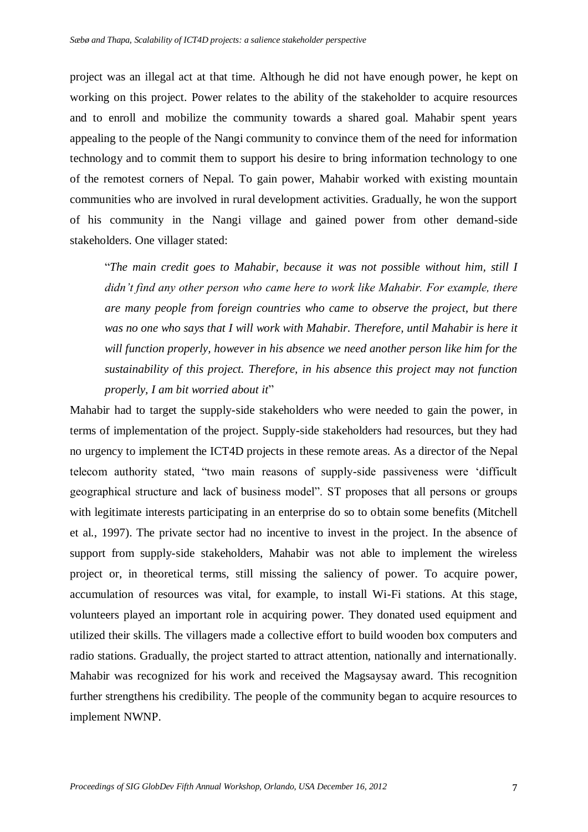project was an illegal act at that time. Although he did not have enough power, he kept on working on this project. Power relates to the ability of the stakeholder to acquire resources and to enroll and mobilize the community towards a shared goal. Mahabir spent years appealing to the people of the Nangi community to convince them of the need for information technology and to commit them to support his desire to bring information technology to one of the remotest corners of Nepal. To gain power, Mahabir worked with existing mountain communities who are involved in rural development activities. Gradually, he won the support of his community in the Nangi village and gained power from other demand-side stakeholders. One villager stated:

"*The main credit goes to Mahabir, because it was not possible without him, still I didn't find any other person who came here to work like Mahabir. For example, there are many people from foreign countries who came to observe the project, but there was no one who says that I will work with Mahabir. Therefore, until Mahabir is here it will function properly, however in his absence we need another person like him for the sustainability of this project. Therefore, in his absence this project may not function properly, I am bit worried about it*"

Mahabir had to target the supply-side stakeholders who were needed to gain the power, in terms of implementation of the project. Supply-side stakeholders had resources, but they had no urgency to implement the ICT4D projects in these remote areas. As a director of the Nepal telecom authority stated, "two main reasons of supply-side passiveness were 'difficult geographical structure and lack of business model". ST proposes that all persons or groups with legitimate interests participating in an enterprise do so to obtain some benefits (Mitchell et al., 1997). The private sector had no incentive to invest in the project. In the absence of support from supply-side stakeholders, Mahabir was not able to implement the wireless project or, in theoretical terms, still missing the saliency of power. To acquire power, accumulation of resources was vital, for example, to install Wi-Fi stations. At this stage, volunteers played an important role in acquiring power. They donated used equipment and utilized their skills. The villagers made a collective effort to build wooden box computers and radio stations. Gradually, the project started to attract attention, nationally and internationally. Mahabir was recognized for his work and received the Magsaysay award. This recognition further strengthens his credibility. The people of the community began to acquire resources to implement NWNP.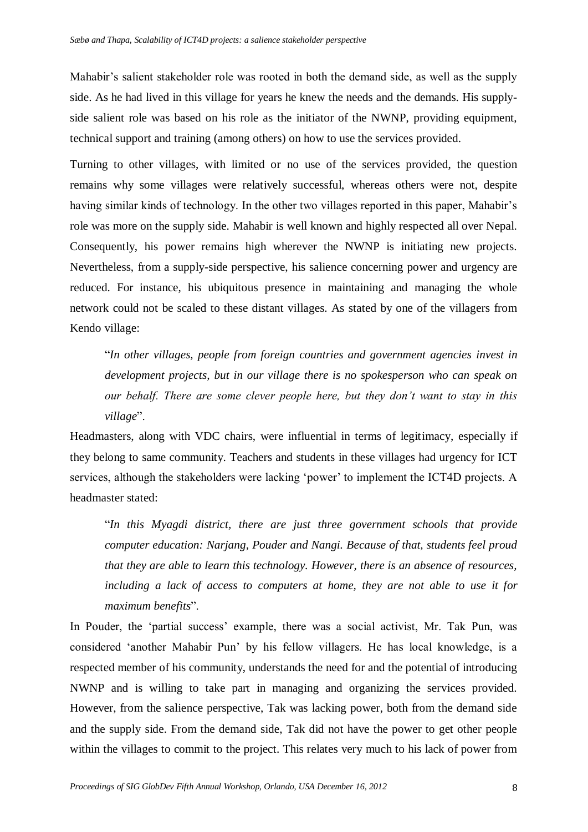Mahabir's salient stakeholder role was rooted in both the demand side, as well as the supply side. As he had lived in this village for years he knew the needs and the demands. His supplyside salient role was based on his role as the initiator of the NWNP, providing equipment, technical support and training (among others) on how to use the services provided.

Turning to other villages, with limited or no use of the services provided, the question remains why some villages were relatively successful, whereas others were not, despite having similar kinds of technology. In the other two villages reported in this paper, Mahabir's role was more on the supply side. Mahabir is well known and highly respected all over Nepal. Consequently, his power remains high wherever the NWNP is initiating new projects. Nevertheless, from a supply-side perspective, his salience concerning power and urgency are reduced. For instance, his ubiquitous presence in maintaining and managing the whole network could not be scaled to these distant villages. As stated by one of the villagers from Kendo village:

"*In other villages, people from foreign countries and government agencies invest in development projects, but in our village there is no spokesperson who can speak on our behalf. There are some clever people here, but they don't want to stay in this village*".

Headmasters, along with VDC chairs, were influential in terms of legitimacy, especially if they belong to same community. Teachers and students in these villages had urgency for ICT services, although the stakeholders were lacking 'power' to implement the ICT4D projects. A headmaster stated:

"*In this Myagdi district, there are just three government schools that provide computer education: Narjang, Pouder and Nangi. Because of that, students feel proud that they are able to learn this technology. However, there is an absence of resources, including a lack of access to computers at home, they are not able to use it for maximum benefits*".

In Pouder, the 'partial success' example, there was a social activist, Mr. Tak Pun, was considered 'another Mahabir Pun' by his fellow villagers. He has local knowledge, is a respected member of his community, understands the need for and the potential of introducing NWNP and is willing to take part in managing and organizing the services provided. However, from the salience perspective, Tak was lacking power, both from the demand side and the supply side. From the demand side, Tak did not have the power to get other people within the villages to commit to the project. This relates very much to his lack of power from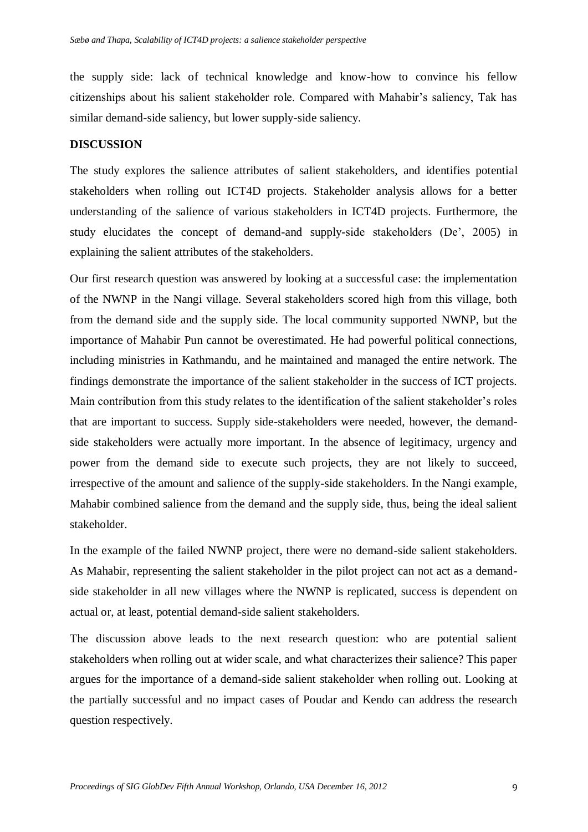the supply side: lack of technical knowledge and know-how to convince his fellow citizenships about his salient stakeholder role. Compared with Mahabir's saliency, Tak has similar demand-side saliency, but lower supply-side saliency.

#### **DISCUSSION**

The study explores the salience attributes of salient stakeholders, and identifies potential stakeholders when rolling out ICT4D projects. Stakeholder analysis allows for a better understanding of the salience of various stakeholders in ICT4D projects. Furthermore, the study elucidates the concept of demand-and supply-side stakeholders (De', 2005) in explaining the salient attributes of the stakeholders.

Our first research question was answered by looking at a successful case: the implementation of the NWNP in the Nangi village. Several stakeholders scored high from this village, both from the demand side and the supply side. The local community supported NWNP, but the importance of Mahabir Pun cannot be overestimated. He had powerful political connections, including ministries in Kathmandu, and he maintained and managed the entire network. The findings demonstrate the importance of the salient stakeholder in the success of ICT projects. Main contribution from this study relates to the identification of the salient stakeholder's roles that are important to success. Supply side-stakeholders were needed, however, the demandside stakeholders were actually more important. In the absence of legitimacy, urgency and power from the demand side to execute such projects, they are not likely to succeed, irrespective of the amount and salience of the supply-side stakeholders. In the Nangi example, Mahabir combined salience from the demand and the supply side, thus, being the ideal salient stakeholder.

In the example of the failed NWNP project, there were no demand-side salient stakeholders. As Mahabir, representing the salient stakeholder in the pilot project can not act as a demandside stakeholder in all new villages where the NWNP is replicated, success is dependent on actual or, at least, potential demand-side salient stakeholders.

The discussion above leads to the next research question: who are potential salient stakeholders when rolling out at wider scale, and what characterizes their salience? This paper argues for the importance of a demand-side salient stakeholder when rolling out. Looking at the partially successful and no impact cases of Poudar and Kendo can address the research question respectively.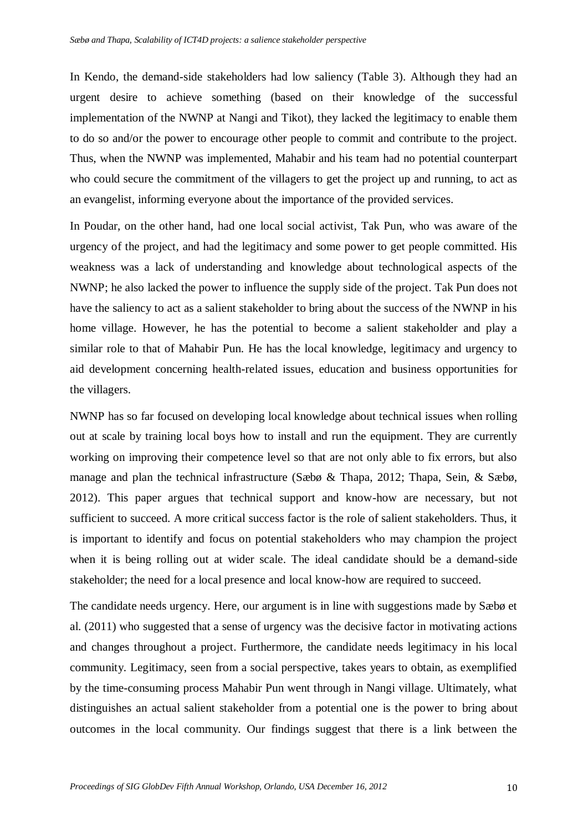In Kendo, the demand-side stakeholders had low saliency (Table 3). Although they had an urgent desire to achieve something (based on their knowledge of the successful implementation of the NWNP at Nangi and Tikot), they lacked the legitimacy to enable them to do so and/or the power to encourage other people to commit and contribute to the project. Thus, when the NWNP was implemented, Mahabir and his team had no potential counterpart who could secure the commitment of the villagers to get the project up and running, to act as an evangelist, informing everyone about the importance of the provided services.

In Poudar, on the other hand, had one local social activist, Tak Pun, who was aware of the urgency of the project, and had the legitimacy and some power to get people committed. His weakness was a lack of understanding and knowledge about technological aspects of the NWNP; he also lacked the power to influence the supply side of the project. Tak Pun does not have the saliency to act as a salient stakeholder to bring about the success of the NWNP in his home village. However, he has the potential to become a salient stakeholder and play a similar role to that of Mahabir Pun. He has the local knowledge, legitimacy and urgency to aid development concerning health-related issues, education and business opportunities for the villagers.

NWNP has so far focused on developing local knowledge about technical issues when rolling out at scale by training local boys how to install and run the equipment. They are currently working on improving their competence level so that are not only able to fix errors, but also manage and plan the technical infrastructure (Sæbø & Thapa, 2012; Thapa, Sein, & Sæbø, 2012). This paper argues that technical support and know-how are necessary, but not sufficient to succeed. A more critical success factor is the role of salient stakeholders. Thus, it is important to identify and focus on potential stakeholders who may champion the project when it is being rolling out at wider scale. The ideal candidate should be a demand-side stakeholder; the need for a local presence and local know-how are required to succeed.

The candidate needs urgency. Here, our argument is in line with suggestions made by Sæbø et al. (2011) who suggested that a sense of urgency was the decisive factor in motivating actions and changes throughout a project. Furthermore, the candidate needs legitimacy in his local community. Legitimacy, seen from a social perspective, takes years to obtain, as exemplified by the time-consuming process Mahabir Pun went through in Nangi village. Ultimately, what distinguishes an actual salient stakeholder from a potential one is the power to bring about outcomes in the local community. Our findings suggest that there is a link between the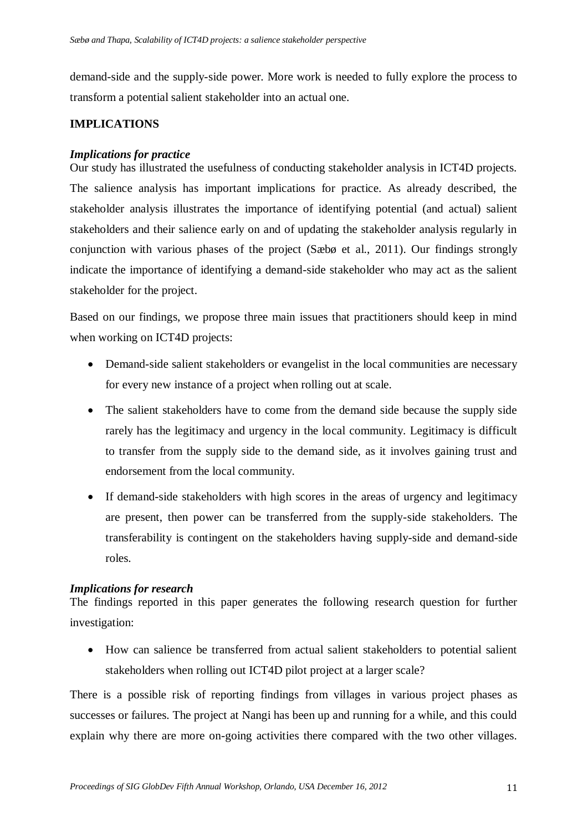demand-side and the supply-side power. More work is needed to fully explore the process to transform a potential salient stakeholder into an actual one.

#### **IMPLICATIONS**

#### *Implications for practice*

Our study has illustrated the usefulness of conducting stakeholder analysis in ICT4D projects. The salience analysis has important implications for practice. As already described, the stakeholder analysis illustrates the importance of identifying potential (and actual) salient stakeholders and their salience early on and of updating the stakeholder analysis regularly in conjunction with various phases of the project (Sæbø et al., 2011). Our findings strongly indicate the importance of identifying a demand-side stakeholder who may act as the salient stakeholder for the project.

Based on our findings, we propose three main issues that practitioners should keep in mind when working on ICT4D projects:

- Demand-side salient stakeholders or evangelist in the local communities are necessary for every new instance of a project when rolling out at scale.
- The salient stakeholders have to come from the demand side because the supply side rarely has the legitimacy and urgency in the local community. Legitimacy is difficult to transfer from the supply side to the demand side, as it involves gaining trust and endorsement from the local community.
- If demand-side stakeholders with high scores in the areas of urgency and legitimacy are present, then power can be transferred from the supply-side stakeholders. The transferability is contingent on the stakeholders having supply-side and demand-side roles.

#### *Implications for research*

The findings reported in this paper generates the following research question for further investigation:

 How can salience be transferred from actual salient stakeholders to potential salient stakeholders when rolling out ICT4D pilot project at a larger scale?

There is a possible risk of reporting findings from villages in various project phases as successes or failures. The project at Nangi has been up and running for a while, and this could explain why there are more on-going activities there compared with the two other villages.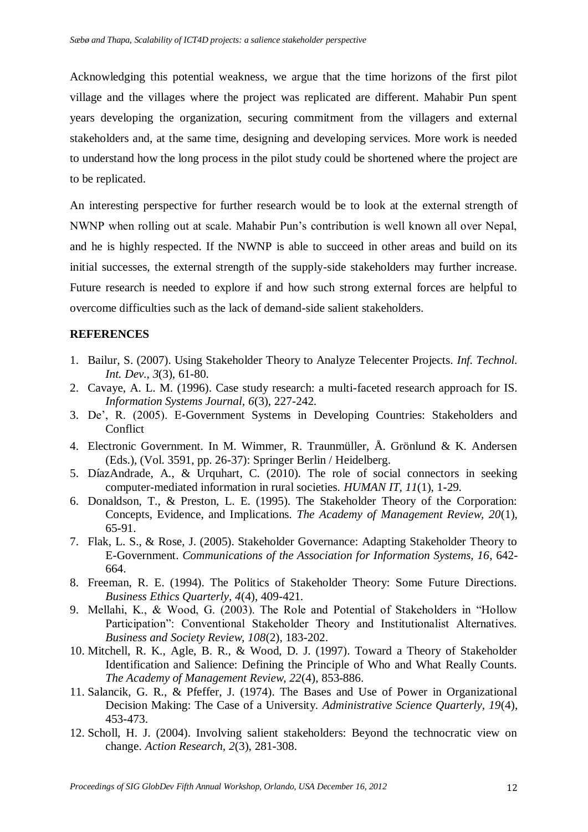Acknowledging this potential weakness, we argue that the time horizons of the first pilot village and the villages where the project was replicated are different. Mahabir Pun spent years developing the organization, securing commitment from the villagers and external stakeholders and, at the same time, designing and developing services. More work is needed to understand how the long process in the pilot study could be shortened where the project are to be replicated.

An interesting perspective for further research would be to look at the external strength of NWNP when rolling out at scale. Mahabir Pun's contribution is well known all over Nepal, and he is highly respected. If the NWNP is able to succeed in other areas and build on its initial successes, the external strength of the supply-side stakeholders may further increase. Future research is needed to explore if and how such strong external forces are helpful to overcome difficulties such as the lack of demand-side salient stakeholders.

#### **REFERENCES**

- 1. Bailur, S. (2007). Using Stakeholder Theory to Analyze Telecenter Projects. *Inf. Technol. Int. Dev., 3*(3), 61-80.
- 2. Cavaye, A. L. M. (1996). Case study research: a multi-faceted research approach for IS. *Information Systems Journal, 6*(3), 227-242.
- 3. De', R. (2005). E-Government Systems in Developing Countries: Stakeholders and Conflict
- 4. Electronic Government. In M. Wimmer, R. Traunmüller, Å. Grönlund & K. Andersen (Eds.), (Vol. 3591, pp. 26-37): Springer Berlin / Heidelberg.
- 5. DíazAndrade, A., & Urquhart, C. (2010). The role of social connectors in seeking computer-mediated information in rural societies. *HUMAN IT, 11*(1), 1-29.
- 6. Donaldson, T., & Preston, L. E. (1995). The Stakeholder Theory of the Corporation: Concepts, Evidence, and Implications. *The Academy of Management Review, 20*(1), 65-91.
- 7. Flak, L. S., & Rose, J. (2005). Stakeholder Governance: Adapting Stakeholder Theory to E-Government. *Communications of the Association for Information Systems, 16*, 642- 664.
- 8. Freeman, R. E. (1994). The Politics of Stakeholder Theory: Some Future Directions. *Business Ethics Quarterly, 4*(4), 409-421.
- 9. Mellahi, K., & Wood, G. (2003). The Role and Potential of Stakeholders in "Hollow Participation": Conventional Stakeholder Theory and Institutionalist Alternatives. *Business and Society Review, 108*(2), 183-202.
- 10. Mitchell, R. K., Agle, B. R., & Wood, D. J. (1997). Toward a Theory of Stakeholder Identification and Salience: Defining the Principle of Who and What Really Counts. *The Academy of Management Review, 22*(4), 853-886.
- 11. Salancik, G. R., & Pfeffer, J. (1974). The Bases and Use of Power in Organizational Decision Making: The Case of a University. *Administrative Science Quarterly, 19*(4), 453-473.
- 12. Scholl, H. J. (2004). Involving salient stakeholders: Beyond the technocratic view on change. *Action Research, 2*(3), 281-308.